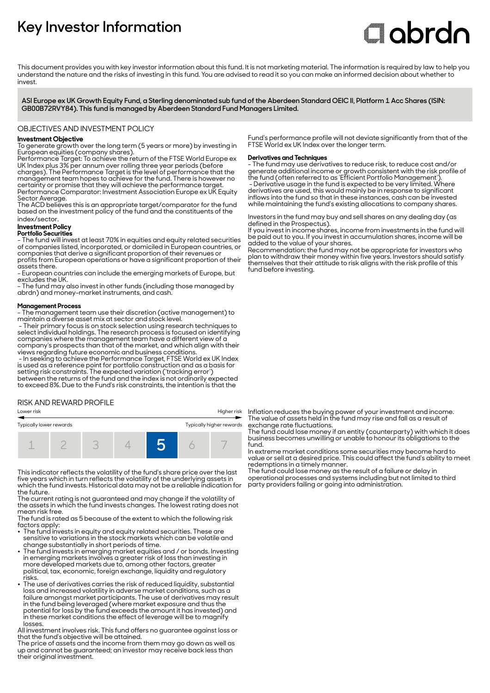# **Key Investor Information**

# **C**obrdo

This document provides you with key investor information about this fund. It is not marketing material. The information is required by law to help you understand the nature and the risks of investing in this fund. You are advised to read it so you can make an informed decision about whether to invest

**ASI Europe ex UK Growth Equity Fund, a Sterling denominated sub fund of the Aberdeen Standard OEIC II, Platform 1 Acc Shares (ISIN: GB00B72RVY84). This fund is managed by Aberdeen Standard Fund Managers Limited.**

#### OBJECTIVES AND INVESTMENT POLICY

#### **Investment Objective**

To generate growth over the long term (5 years or more) by investing in European equities (company shares).

Performance Target: To achieve the return of the FTSE World Europe ex UK Index plus 3% per annum over rolling three year periods (before charges). The Performance Target is the level of performance that the management team hopes to achieve for the fund. There is however no certainty or promise that they will achieve the performance target.

Performance Comparator: Investment Association Europe ex UK Equity Sector Average.

The ACD believes this is an appropriate target/comparator for the fund based on the investment policy of the fund and the constituents of the index/sector.

## **Investment Policy**

#### **Portfolio Securities**

- The fund will invest at least 70% in equities and equity related securities of companies listed, incorporated, or domiciled in European countries, or companies that derive a significant proportion of their revenues or profits from European operations or have a significant proportion of their

assets there. - European countries can include the emerging markets of Europe, but

excludes the UK. - The fund may also invest in other funds (including those managed by

abrdn) and money-market instruments, and cash.

#### **Management Process**

- The management team use their discretion (active management) to maintain a diverse asset mix at sector and stock level.

 - Their primary focus is on stock selection using research techniques to select individual holdings. The research process is focused on identifying companies where the management team have a different view of a company's prospects than that of the market, and which align with their views regarding future economic and business conditions.

 - In seeking to achieve the Performance Target, FTSE World ex UK Index is used as a reference point for portfolio construction and as a basis for setting risk constraints. The expected variation ('tracking error') between the returns of the fund and the index is not ordinarily expected to exceed 8%. Due to the Fund's risk constraints, the intention is that the

### RISK AND REWARD PROFILE

#### Lower risk Higher risk



This indicator reflects the volatility of the fund's share price over the last five years which in turn reflects the volatility of the underlying assets in which the fund invests. Historical data may not be a reliable indication for the future.

The current rating is not guaranteed and may change if the volatility of the assets in which the fund invests changes. The lowest rating does not mean risk free.

The fund is rated as 5 because of the extent to which the following risk factors apply:

- The fund invests in equity and equity related securities. These are sensitive to variations in the stock markets which can be volatile and change substantially in short periods of time.
- The fund invests in emerging market equities and / or bonds. Investing in emerging markets involves a greater risk of loss than investing in more developed markets due to, among other factors, greater political, tax, economic, foreign exchange, liquidity and regulatory risks.
- The use of derivatives carries the risk of reduced liquidity, substantial loss and increased volatility in adverse market conditions, such as a failure amongst market participants. The use of derivatives may result in the fund being leveraged (where market exposure and thus the potential for loss by the fund exceeds the amount it has invested) and in these market conditions the effect of leverage will be to magnify losses.

All investment involves risk. This fund offers no guarantee against loss or that the fund's objective will be attained.

The price of assets and the income from them may go down as well as up and cannot be guaranteed; an investor may receive back less than their original investment.

Fund's performance profile will not deviate significantly from that of the FTSE World ex UK Index over the longer term.

#### **Derivatives and Techniques**

- The fund may use derivatives to reduce risk, to reduce cost and/or generate additional income or growth consistent with the risk profile of the fund (often referred to as 'Efficient Portfolio Management').

 - Derivative usage in the fund is expected to be very limited. Where derivatives are used, this would mainly be in response to significant inflows into the fund so that in these instances, cash can be invested while maintaining the fund's existing allocations to company shares.

Investors in the fund may buy and sell shares on any dealing day (as defined in the Prospectus).

If you invest in income shares, income from investments in the fund will be paid out to you. If you invest in accumulation shares, income will be added to the value of your shares.

Recommendation: the fund may not be appropriate for investors who plan to withdraw their money within five years. Investors should satisfy themselves that their attitude to risk aligns with the risk profile of this fund before investing.

Inflation reduces the buying power of your investment and income. The value of assets held in the fund may rise and fall as a result of exchange rate fluctuations.

The fund could lose money if an entity (counterparty) with which it does business becomes unwilling or unable to honour its obligations to the fund.

In extreme market conditions some securities may become hard to value or sell at a desired price. This could affect the fund's ability to meet redemptions in a timely manner.

The fund could lose money as the result of a failure or delay in operational processes and systems including but not limited to third party providers failing or going into administration.